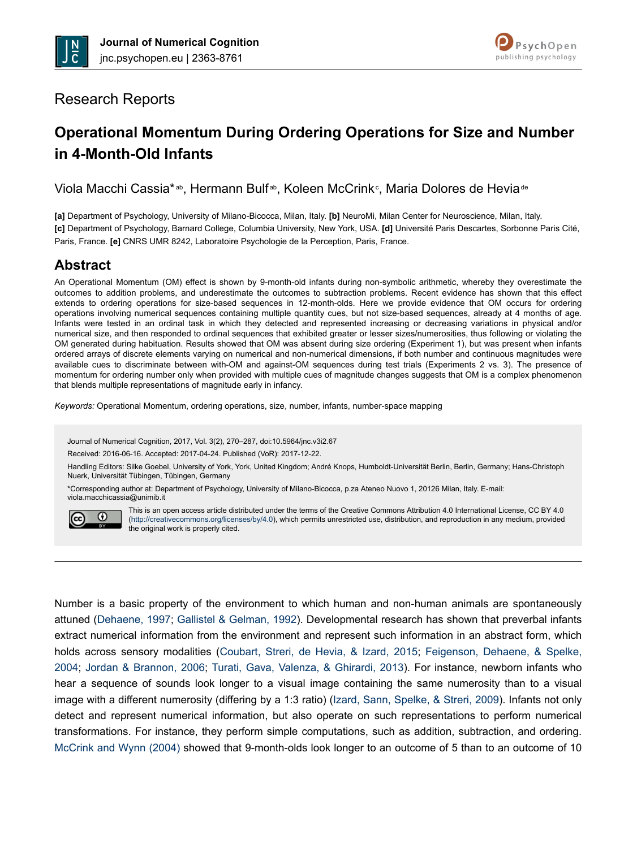



# Research Reports

# **Operational Momentum During Ordering Operations for Size and Number in 4-Month-Old Infants**

Viola Macchi Cassia\*<sup>ab</sup>, Hermann Bulf<sup>ab</sup>, Koleen McCrink<sup>c</sup>, Maria Dolores de Hevia<sup>de</sup>

**[a]** Department of Psychology, University of Milano-Bicocca, Milan, Italy. **[b]** NeuroMi, Milan Center for Neuroscience, Milan, Italy. **[c]** Department of Psychology, Barnard College, Columbia University, New York, USA. **[d]** Université Paris Descartes, Sorbonne Paris Cité, Paris, France. **[e]** CNRS UMR 8242, Laboratoire Psychologie de la Perception, Paris, France.

# **Abstract**

An Operational Momentum (OM) effect is shown by 9-month-old infants during non-symbolic arithmetic, whereby they overestimate the outcomes to addition problems, and underestimate the outcomes to subtraction problems. Recent evidence has shown that this effect extends to ordering operations for size-based sequences in 12-month-olds. Here we provide evidence that OM occurs for ordering operations involving numerical sequences containing multiple quantity cues, but not size-based sequences, already at 4 months of age. Infants were tested in an ordinal task in which they detected and represented increasing or decreasing variations in physical and/or numerical size, and then responded to ordinal sequences that exhibited greater or lesser sizes/numerosities, thus following or violating the OM generated during habituation. Results showed that OM was absent during size ordering (Experiment 1), but was present when infants ordered arrays of discrete elements varying on numerical and non-numerical dimensions, if both number and continuous magnitudes were available cues to discriminate between with-OM and against-OM sequences during test trials (Experiments 2 vs. 3). The presence of momentum for ordering number only when provided with multiple cues of magnitude changes suggests that OM is a complex phenomenon that blends multiple representations of magnitude early in infancy.

*Keywords:* Operational Momentum, ordering operations, size, number, infants, number-space mapping

Journal of Numerical Cognition, 2017, Vol. 3(2), 270–287, doi:10.5964/jnc.v3i2.67

Received: 2016-06-16. Accepted: 2017-04-24. Published (VoR): 2017-12-22.

Handling Editors: Silke Goebel, University of York, York, United Kingdom; André Knops, Humboldt-Universität Berlin, Berlin, Germany; Hans-Christoph Nuerk, Universität Tübingen, Tübingen, Germany

\*Corresponding author at: Department of Psychology, University of Milano-Bicocca, p.za Ateneo Nuovo 1, 20126 Milan, Italy. E-mail: viola.macchicassia@unimib.it



This is an open access article distributed under the terms of the Creative Commons Attribution 4.0 International License, CC BY 4.0 (<http://creativecommons.org/licenses/by/4.0>), which permits unrestricted use, distribution, and reproduction in any medium, provided the original work is properly cited.

Number is a basic property of the environment to which human and non-human animals are spontaneously attuned ([Dehaene, 1997;](#page-16-0) [Gallistel & Gelman, 1992](#page-16-0)). Developmental research has shown that preverbal infants extract numerical information from the environment and represent such information in an abstract form, which holds across sensory modalities ([Coubart, Streri, de Hevia, & Izard, 2015;](#page-15-0) [Feigenson, Dehaene, & Spelke,](#page-16-0) [2004](#page-16-0); [Jordan & Brannon, 2006;](#page-16-0) [Turati, Gava, Valenza, & Ghirardi, 2013\)](#page-17-0). For instance, newborn infants who hear a sequence of sounds look longer to a visual image containing the same numerosity than to a visual image with a different numerosity (differing by a 1:3 ratio) ([Izard, Sann, Spelke, & Streri, 2009\)](#page-16-0). Infants not only detect and represent numerical information, but also operate on such representations to perform numerical transformations. For instance, they perform simple computations, such as addition, subtraction, and ordering. [McCrink and Wynn \(2004\)](#page-17-0) showed that 9-month-olds look longer to an outcome of 5 than to an outcome of 10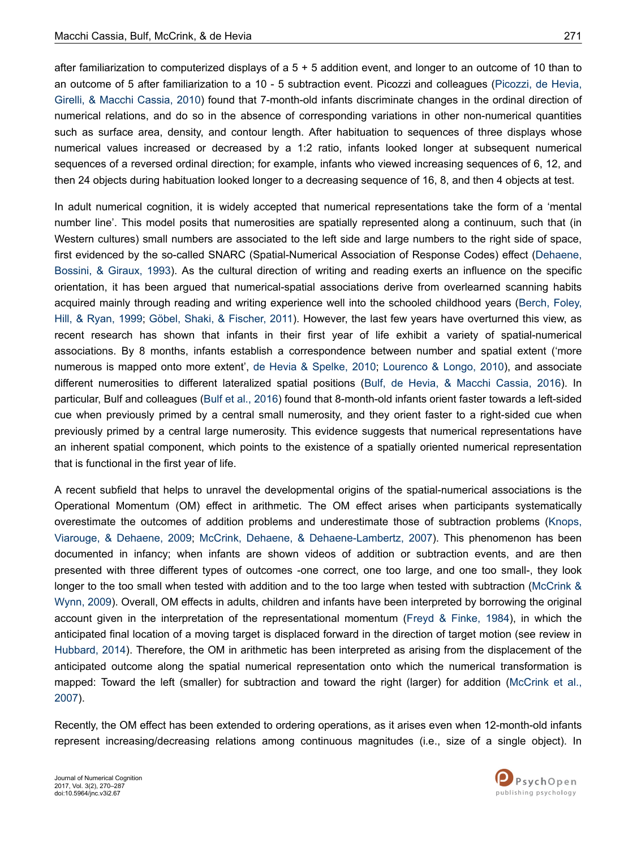after familiarization to computerized displays of a  $5 + 5$  addition event, and longer to an outcome of 10 than to an outcome of 5 after familiarization to a 10 - 5 subtraction event. Picozzi and colleagues ([Picozzi, de Hevia,](#page-17-0) [Girelli, & Macchi Cassia, 2010\)](#page-17-0) found that 7-month-old infants discriminate changes in the ordinal direction of numerical relations, and do so in the absence of corresponding variations in other non-numerical quantities such as surface area, density, and contour length. After habituation to sequences of three displays whose numerical values increased or decreased by a 1:2 ratio, infants looked longer at subsequent numerical sequences of a reversed ordinal direction; for example, infants who viewed increasing sequences of 6, 12, and then 24 objects during habituation looked longer to a decreasing sequence of 16, 8, and then 4 objects at test.

In adult numerical cognition, it is widely accepted that numerical representations take the form of a 'mental number line'. This model posits that numerosities are spatially represented along a continuum, such that (in Western cultures) small numbers are associated to the left side and large numbers to the right side of space, first evidenced by the so-called SNARC (Spatial-Numerical Association of Response Codes) effect ([Dehaene,](#page-16-0) [Bossini, & Giraux, 1993\)](#page-16-0). As the cultural direction of writing and reading exerts an influence on the specific orientation, it has been argued that numerical-spatial associations derive from overlearned scanning habits acquired mainly through reading and writing experience well into the schooled childhood years [\(Berch, Foley,](#page-15-0) [Hill, & Ryan, 1999](#page-15-0); [Göbel, Shaki, & Fischer, 2011](#page-16-0)). However, the last few years have overturned this view, as recent research has shown that infants in their first year of life exhibit a variety of spatial-numerical associations. By 8 months, infants establish a correspondence between number and spatial extent ('more numerous is mapped onto more extent', [de Hevia & Spelke, 2010;](#page-16-0) [Lourenco & Longo, 2010](#page-16-0)), and associate different numerosities to different lateralized spatial positions ([Bulf, de Hevia, & Macchi Cassia, 2016\)](#page-15-0). In particular, Bulf and colleagues ([Bulf et al., 2016](#page-15-0)) found that 8-month-old infants orient faster towards a left-sided cue when previously primed by a central small numerosity, and they orient faster to a right-sided cue when previously primed by a central large numerosity. This evidence suggests that numerical representations have an inherent spatial component, which points to the existence of a spatially oriented numerical representation that is functional in the first year of life.

A recent subfield that helps to unravel the developmental origins of the spatial-numerical associations is the Operational Momentum (OM) effect in arithmetic. The OM effect arises when participants systematically overestimate the outcomes of addition problems and underestimate those of subtraction problems [\(Knops,](#page-16-0) [Viarouge, & Dehaene, 2009](#page-16-0); [McCrink, Dehaene, & Dehaene-Lambertz, 2007\)](#page-17-0). This phenomenon has been documented in infancy; when infants are shown videos of addition or subtraction events, and are then presented with three different types of outcomes -one correct, one too large, and one too small-, they look longer to the too small when tested with addition and to the too large when tested with subtraction ([McCrink &](#page-17-0) [Wynn, 2009](#page-17-0)). Overall, OM effects in adults, children and infants have been interpreted by borrowing the original account given in the interpretation of the representational momentum [\(Freyd & Finke, 1984\)](#page-16-0), in which the anticipated final location of a moving target is displaced forward in the direction of target motion (see review in [Hubbard, 2014\)](#page-16-0). Therefore, the OM in arithmetic has been interpreted as arising from the displacement of the anticipated outcome along the spatial numerical representation onto which the numerical transformation is mapped: Toward the left (smaller) for subtraction and toward the right (larger) for addition ([McCrink et al.,](#page-17-0) [2007](#page-17-0)).

Recently, the OM effect has been extended to ordering operations, as it arises even when 12-month-old infants represent increasing/decreasing relations among continuous magnitudes (i.e., size of a single object). In





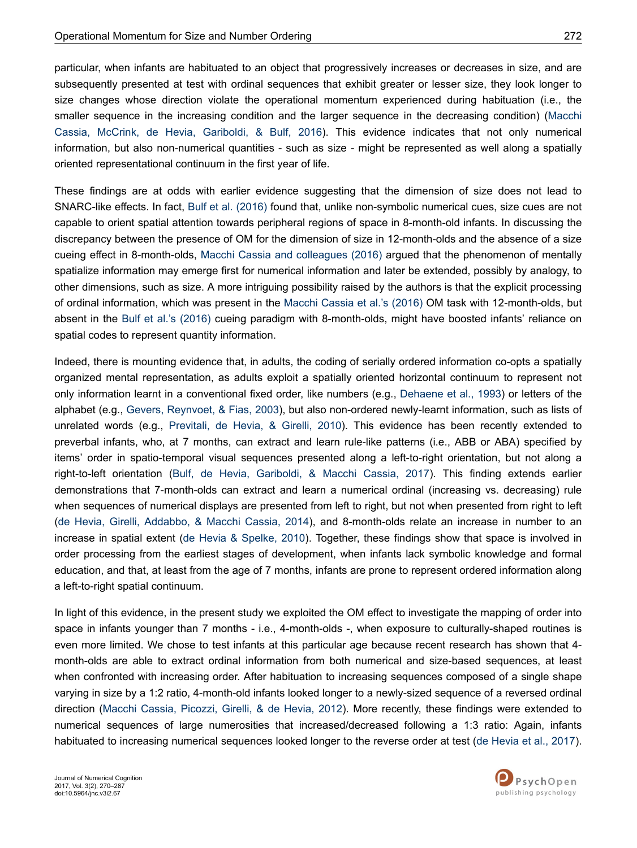particular, when infants are habituated to an object that progressively increases or decreases in size, and are subsequently presented at test with ordinal sequences that exhibit greater or lesser size, they look longer to size changes whose direction violate the operational momentum experienced during habituation (i.e., the smaller sequence in the increasing condition and the larger sequence in the decreasing condition) ([Macchi](#page-17-0) [Cassia, McCrink, de Hevia, Gariboldi, & Bulf, 2016](#page-17-0)). This evidence indicates that not only numerical information, but also non-numerical quantities - such as size - might be represented as well along a spatially oriented representational continuum in the first year of life.

These findings are at odds with earlier evidence suggesting that the dimension of size does not lead to SNARC-like effects. In fact, [Bulf et al. \(2016\)](#page-15-0) found that, unlike non-symbolic numerical cues, size cues are not capable to orient spatial attention towards peripheral regions of space in 8-month-old infants. In discussing the discrepancy between the presence of OM for the dimension of size in 12-month-olds and the absence of a size cueing effect in 8-month-olds, [Macchi Cassia and colleagues \(2016\)](#page-17-0) argued that the phenomenon of mentally spatialize information may emerge first for numerical information and later be extended, possibly by analogy, to other dimensions, such as size. A more intriguing possibility raised by the authors is that the explicit processing of ordinal information, which was present in the [Macchi Cassia et al.'s \(2016\)](#page-17-0) OM task with 12-month-olds, but absent in the [Bulf et al.'s \(2016\)](#page-15-0) cueing paradigm with 8-month-olds, might have boosted infants' reliance on spatial codes to represent quantity information.

Indeed, there is mounting evidence that, in adults, the coding of serially ordered information co-opts a spatially organized mental representation, as adults exploit a spatially oriented horizontal continuum to represent not only information learnt in a conventional fixed order, like numbers (e.g., [Dehaene et al., 1993\)](#page-16-0) or letters of the alphabet (e.g., [Gevers, Reynvoet, & Fias, 2003\)](#page-16-0), but also non-ordered newly-learnt information, such as lists of unrelated words (e.g., [Previtali, de Hevia, & Girelli, 2010](#page-17-0)). This evidence has been recently extended to preverbal infants, who, at 7 months, can extract and learn rule-like patterns (i.e., ABB or ABA) specified by items' order in spatio-temporal visual sequences presented along a left-to-right orientation, but not along a right-to-left orientation [\(Bulf, de Hevia, Gariboldi, & Macchi Cassia, 2017\)](#page-15-0). This finding extends earlier demonstrations that 7-month-olds can extract and learn a numerical ordinal (increasing vs. decreasing) rule when sequences of numerical displays are presented from left to right, but not when presented from right to left [\(de Hevia, Girelli, Addabbo, & Macchi Cassia, 2014](#page-16-0)), and 8-month-olds relate an increase in number to an increase in spatial extent [\(de Hevia & Spelke, 2010](#page-16-0)). Together, these findings show that space is involved in order processing from the earliest stages of development, when infants lack symbolic knowledge and formal education, and that, at least from the age of 7 months, infants are prone to represent ordered information along a left-to-right spatial continuum.

In light of this evidence, in the present study we exploited the OM effect to investigate the mapping of order into space in infants younger than 7 months - i.e., 4-month-olds -, when exposure to culturally-shaped routines is even more limited. We chose to test infants at this particular age because recent research has shown that 4 month-olds are able to extract ordinal information from both numerical and size-based sequences, at least when confronted with increasing order. After habituation to increasing sequences composed of a single shape varying in size by a 1:2 ratio, 4-month-old infants looked longer to a newly-sized sequence of a reversed ordinal direction [\(Macchi Cassia, Picozzi, Girelli, & de Hevia, 2012](#page-17-0)). More recently, these findings were extended to numerical sequences of large numerosities that increased/decreased following a 1:3 ratio: Again, infants habituated to increasing numerical sequences looked longer to the reverse order at test ([de Hevia et al., 2017](#page-16-0)).

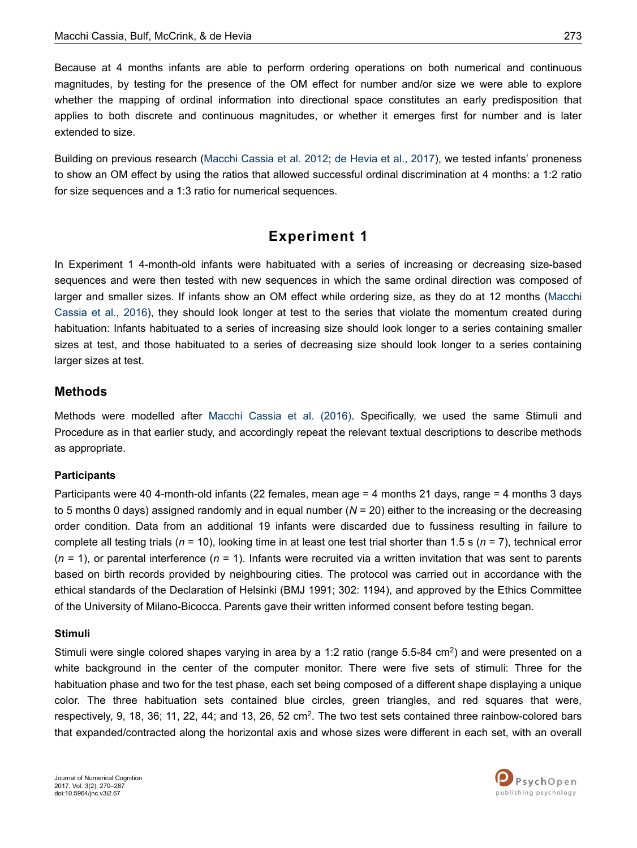Because at 4 months infants are able to perform ordering operations on both numerical and continuous magnitudes, by testing for the presence of the OM effect for number and/or size we were able to explore whether the mapping of ordinal information into directional space constitutes an early predisposition that applies to both discrete and continuous magnitudes, or whether it emerges first for number and is later extended to size.

Building on previous research ([Macchi Cassia et al. 2012](#page-17-0); [de Hevia et al., 2017\)](#page-16-0), we tested infants' proneness to show an OM effect by using the ratios that allowed successful ordinal discrimination at 4 months: a 1:2 ratio for size sequences and a 1:3 ratio for numerical sequences.

## **Experiment 1**

In Experiment 1 4-month-old infants were habituated with a series of increasing or decreasing size-based sequences and were then tested with new sequences in which the same ordinal direction was composed of larger and smaller sizes. If infants show an OM effect while ordering size, as they do at 12 months ([Macchi](#page-17-0) [Cassia et al., 2016\)](#page-17-0), they should look longer at test to the series that violate the momentum created during habituation: Infants habituated to a series of increasing size should look longer to a series containing smaller sizes at test, and those habituated to a series of decreasing size should look longer to a series containing larger sizes at test.

#### **Methods**

Methods were modelled after [Macchi Cassia et al. \(2016\).](#page-17-0) Specifically, we used the same Stimuli and Procedure as in that earlier study, and accordingly repeat the relevant textual descriptions to describe methods as appropriate.

#### **Participants**

Participants were 40 4-month-old infants (22 females, mean age = 4 months 21 days, range = 4 months 3 days to 5 months 0 days) assigned randomly and in equal number (*N* = 20) either to the increasing or the decreasing order condition. Data from an additional 19 infants were discarded due to fussiness resulting in failure to complete all testing trials (*n* = 10), looking time in at least one test trial shorter than 1.5 s (*n* = 7), technical error (*n* = 1), or parental interference (*n* = 1). Infants were recruited via a written invitation that was sent to parents based on birth records provided by neighbouring cities. The protocol was carried out in accordance with the ethical standards of the Declaration of Helsinki (BMJ 1991; 302: 1194), and approved by the Ethics Committee of the University of Milano-Bicocca. Parents gave their written informed consent before testing began.

#### **Stimuli**

Stimuli were single colored shapes varying in area by a 1:2 ratio (range 5.5-84 cm<sup>2</sup>) and were presented on a white background in the center of the computer monitor. There were five sets of stimuli: Three for the habituation phase and two for the test phase, each set being composed of a different shape displaying a unique color. The three habituation sets contained blue circles, green triangles, and red squares that were, respectively, 9, 18, 36; 11, 22, 44; and 13, 26, 52 cm<sup>2</sup>. The two test sets contained three rainbow-colored bars that expanded/contracted along the horizontal axis and whose sizes were different in each set, with an overall

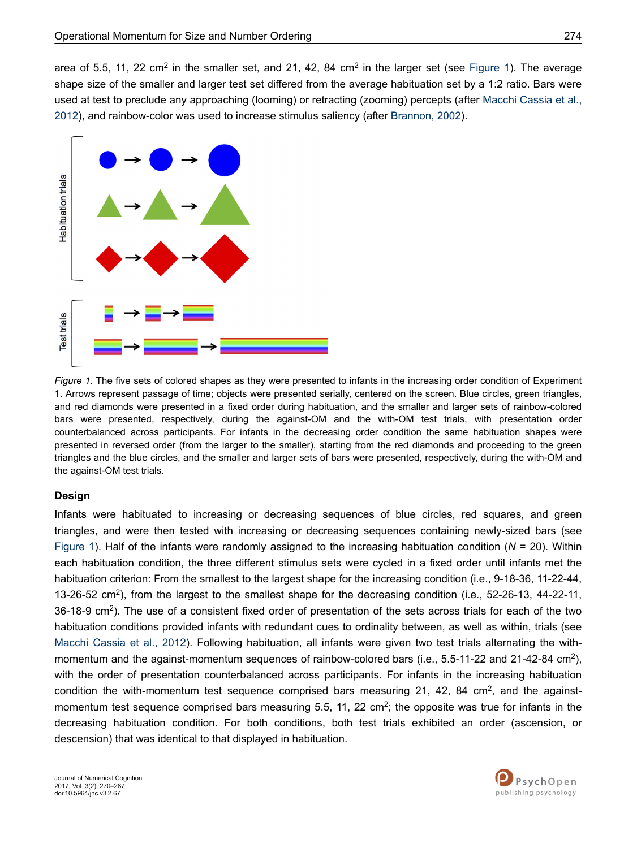area of 5.5, 11, 22 cm<sup>2</sup> in the smaller set, and 21, 42, 84 cm<sup>2</sup> in the larger set (see Figure 1). The average shape size of the smaller and larger test set differed from the average habituation set by a 1:2 ratio. Bars were used at test to preclude any approaching (looming) or retracting (zooming) percepts (after [Macchi Cassia et al.,](#page-17-0) [2012](#page-17-0)), and rainbow-color was used to increase stimulus saliency (after [Brannon, 2002](#page-15-0)).



*Figure 1.* The five sets of colored shapes as they were presented to infants in the increasing order condition of Experiment 1. Arrows represent passage of time; objects were presented serially, centered on the screen. Blue circles, green triangles, and red diamonds were presented in a fixed order during habituation, and the smaller and larger sets of rainbow-colored bars were presented, respectively, during the against-OM and the with-OM test trials, with presentation order counterbalanced across participants. For infants in the decreasing order condition the same habituation shapes were presented in reversed order (from the larger to the smaller), starting from the red diamonds and proceeding to the green triangles and the blue circles, and the smaller and larger sets of bars were presented, respectively, during the with-OM and the against-OM test trials.

#### **Design**

Infants were habituated to increasing or decreasing sequences of blue circles, red squares, and green triangles, and were then tested with increasing or decreasing sequences containing newly-sized bars (see Figure 1). Half of the infants were randomly assigned to the increasing habituation condition (*N* = 20). Within each habituation condition, the three different stimulus sets were cycled in a fixed order until infants met the habituation criterion: From the smallest to the largest shape for the increasing condition (i.e., 9-18-36, 11-22-44, 13-26-52 cm<sup>2</sup> ), from the largest to the smallest shape for the decreasing condition (i.e., 52-26-13, 44-22-11, 36-18-9 cm<sup>2</sup>). The use of a consistent fixed order of presentation of the sets across trials for each of the two habituation conditions provided infants with redundant cues to ordinality between, as well as within, trials (see [Macchi Cassia et al., 2012](#page-17-0)). Following habituation, all infants were given two test trials alternating the withmomentum and the against-momentum sequences of rainbow-colored bars (i.e., 5.5-11-22 and 21-42-84 cm<sup>2</sup>), with the order of presentation counterbalanced across participants. For infants in the increasing habituation condition the with-momentum test sequence comprised bars measuring 21, 42, 84  $\text{cm}^2$ , and the againstmomentum test sequence comprised bars measuring 5.5, 11, 22 cm<sup>2</sup>; the opposite was true for infants in the decreasing habituation condition. For both conditions, both test trials exhibited an order (ascension, or descension) that was identical to that displayed in habituation.

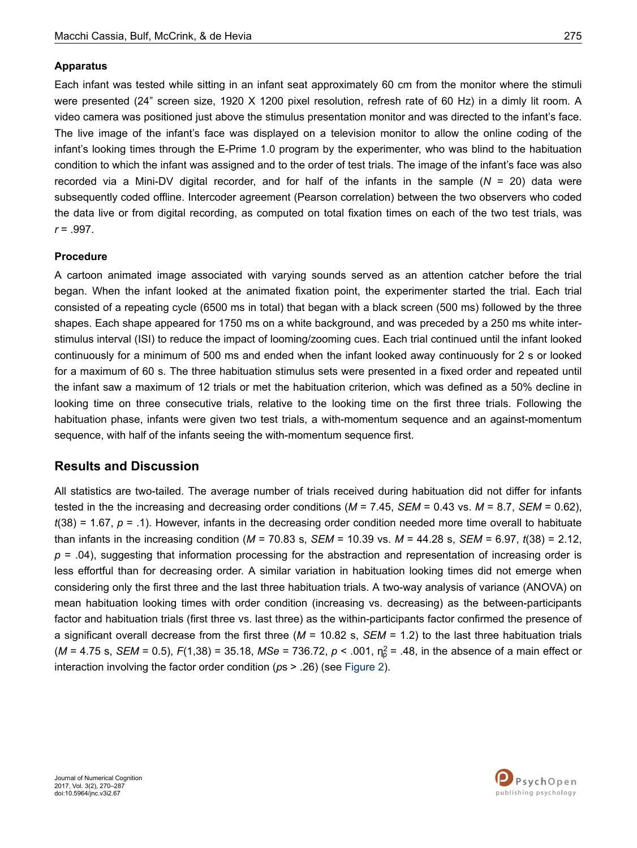#### **Apparatus**

Each infant was tested while sitting in an infant seat approximately 60 cm from the monitor where the stimuli were presented (24" screen size, 1920 X 1200 pixel resolution, refresh rate of 60 Hz) in a dimly lit room. A video camera was positioned just above the stimulus presentation monitor and was directed to the infant's face. The live image of the infant's face was displayed on a television monitor to allow the online coding of the infant's looking times through the E-Prime 1.0 program by the experimenter, who was blind to the habituation condition to which the infant was assigned and to the order of test trials. The image of the infant's face was also recorded via a Mini-DV digital recorder, and for half of the infants in the sample (*N* = 20) data were subsequently coded offline. Intercoder agreement (Pearson correlation) between the two observers who coded the data live or from digital recording, as computed on total fixation times on each of the two test trials, was *r* = .997.

#### **Procedure**

A cartoon animated image associated with varying sounds served as an attention catcher before the trial began. When the infant looked at the animated fixation point, the experimenter started the trial. Each trial consisted of a repeating cycle (6500 ms in total) that began with a black screen (500 ms) followed by the three shapes. Each shape appeared for 1750 ms on a white background, and was preceded by a 250 ms white interstimulus interval (ISI) to reduce the impact of looming/zooming cues. Each trial continued until the infant looked continuously for a minimum of 500 ms and ended when the infant looked away continuously for 2 s or looked for a maximum of 60 s. The three habituation stimulus sets were presented in a fixed order and repeated until the infant saw a maximum of 12 trials or met the habituation criterion, which was defined as a 50% decline in looking time on three consecutive trials, relative to the looking time on the first three trials. Following the habituation phase, infants were given two test trials, a with-momentum sequence and an against-momentum sequence, with half of the infants seeing the with-momentum sequence first.

### **Results and Discussion**

All statistics are two-tailed. The average number of trials received during habituation did not differ for infants tested in the the increasing and decreasing order conditions (*M* = 7.45, *SEM* = 0.43 vs. *M* = 8.7, *SEM* = 0.62),  $t(38) = 1.67$ ,  $p = .1$ ). However, infants in the decreasing order condition needed more time overall to habituate than infants in the increasing condition (*M* = 70.83 s, *SEM* = 10.39 vs. *M* = 44.28 s, *SEM* = 6.97, *t*(38) = 2.12, *p* = .04), suggesting that information processing for the abstraction and representation of increasing order is less effortful than for decreasing order. A similar variation in habituation looking times did not emerge when considering only the first three and the last three habituation trials. A two-way analysis of variance (ANOVA) on mean habituation looking times with order condition (increasing vs. decreasing) as the between-participants factor and habituation trials (first three vs. last three) as the within-participants factor confirmed the presence of a significant overall decrease from the first three (*M* = 10.82 s, *SEM* = 1.2) to the last three habituation trials  $(M = 4.75 \text{ s}, \text{SEM} = 0.5), F(1,38) = 35.18, \text{MSe} = 736.72, p < .001, \eta_p^2 = .48, \text{ in the absence of a main effect or}$ interaction involving the factor order condition (*p*s > .26) (see [Figure 2](#page-6-0)).

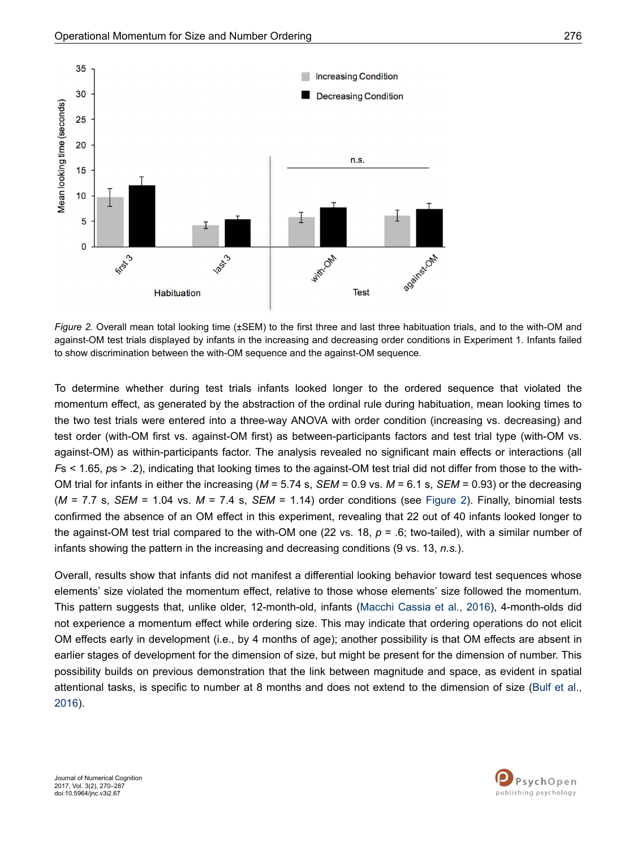<span id="page-6-0"></span>

*Figure 2.* Overall mean total looking time (±SEM) to the first three and last three habituation trials, and to the with-OM and against-OM test trials displayed by infants in the increasing and decreasing order conditions in Experiment 1. Infants failed to show discrimination between the with-OM sequence and the against-OM sequence.

To determine whether during test trials infants looked longer to the ordered sequence that violated the momentum effect, as generated by the abstraction of the ordinal rule during habituation, mean looking times to the two test trials were entered into a three-way ANOVA with order condition (increasing vs. decreasing) and test order (with-OM first vs. against-OM first) as between-participants factors and test trial type (with-OM vs. against-OM) as within-participants factor. The analysis revealed no significant main effects or interactions (all *F*s < 1.65, *p*s > .2), indicating that looking times to the against-OM test trial did not differ from those to the with-OM trial for infants in either the increasing (*M* = 5.74 s, *SEM* = 0.9 vs. *M* = 6.1 s, *SEM* = 0.93) or the decreasing (*M* = 7.7 s, *SEM* = 1.04 vs. *M* = 7.4 s, *SEM* = 1.14) order conditions (see Figure 2). Finally, binomial tests confirmed the absence of an OM effect in this experiment, revealing that 22 out of 40 infants looked longer to the against-OM test trial compared to the with-OM one (22 vs. 18, *p* = .6; two-tailed), with a similar number of infants showing the pattern in the increasing and decreasing conditions (9 vs. 13, *n.s.*).

Overall, results show that infants did not manifest a differential looking behavior toward test sequences whose elements' size violated the momentum effect, relative to those whose elements' size followed the momentum. This pattern suggests that, unlike older, 12-month-old, infants ([Macchi Cassia et al., 2016\)](#page-17-0), 4-month-olds did not experience a momentum effect while ordering size. This may indicate that ordering operations do not elicit OM effects early in development (i.e., by 4 months of age); another possibility is that OM effects are absent in earlier stages of development for the dimension of size, but might be present for the dimension of number. This possibility builds on previous demonstration that the link between magnitude and space, as evident in spatial attentional tasks, is specific to number at 8 months and does not extend to the dimension of size [\(Bulf et al.,](#page-15-0) [2016](#page-15-0)).

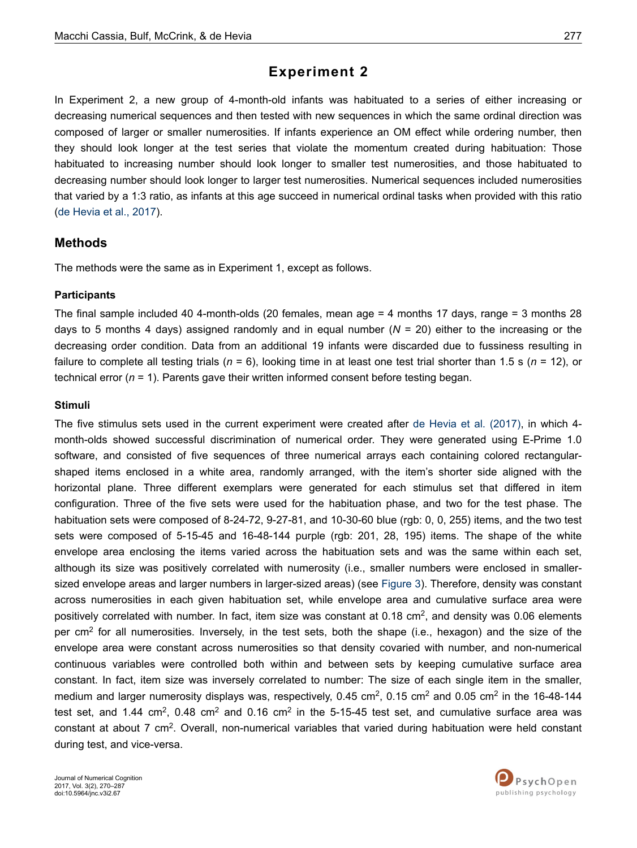# **Experiment 2**

In Experiment 2, a new group of 4-month-old infants was habituated to a series of either increasing or decreasing numerical sequences and then tested with new sequences in which the same ordinal direction was composed of larger or smaller numerosities. If infants experience an OM effect while ordering number, then they should look longer at the test series that violate the momentum created during habituation: Those habituated to increasing number should look longer to smaller test numerosities, and those habituated to decreasing number should look longer to larger test numerosities. Numerical sequences included numerosities that varied by a 1:3 ratio, as infants at this age succeed in numerical ordinal tasks when provided with this ratio [\(de Hevia et al., 2017](#page-16-0)).

## **Methods**

The methods were the same as in Experiment 1, except as follows.

### **Participants**

The final sample included 40 4-month-olds (20 females, mean age = 4 months 17 days, range = 3 months 28 days to 5 months 4 days) assigned randomly and in equal number (*N* = 20) either to the increasing or the decreasing order condition. Data from an additional 19 infants were discarded due to fussiness resulting in failure to complete all testing trials ( $n = 6$ ), looking time in at least one test trial shorter than 1.5 s ( $n = 12$ ), or technical error  $(n = 1)$ . Parents gave their written informed consent before testing began.

### **Stimuli**

The five stimulus sets used in the current experiment were created after [de Hevia et al. \(2017\)](#page-16-0), in which 4 month-olds showed successful discrimination of numerical order. They were generated using E-Prime 1.0 software, and consisted of five sequences of three numerical arrays each containing colored rectangularshaped items enclosed in a white area, randomly arranged, with the item's shorter side aligned with the horizontal plane. Three different exemplars were generated for each stimulus set that differed in item configuration. Three of the five sets were used for the habituation phase, and two for the test phase. The habituation sets were composed of 8-24-72, 9-27-81, and 10-30-60 blue (rgb: 0, 0, 255) items, and the two test sets were composed of 5-15-45 and 16-48-144 purple (rgb: 201, 28, 195) items. The shape of the white envelope area enclosing the items varied across the habituation sets and was the same within each set, although its size was positively correlated with numerosity (i.e., smaller numbers were enclosed in smallersized envelope areas and larger numbers in larger-sized areas) (see [Figure 3\)](#page-8-0). Therefore, density was constant across numerosities in each given habituation set, while envelope area and cumulative surface area were positively correlated with number. In fact, item size was constant at  $0.18 \text{ cm}^2$ , and density was  $0.06$  elements per cm<sup>2</sup> for all numerosities. Inversely, in the test sets, both the shape (i.e., hexagon) and the size of the envelope area were constant across numerosities so that density covaried with number, and non-numerical continuous variables were controlled both within and between sets by keeping cumulative surface area constant. In fact, item size was inversely correlated to number: The size of each single item in the smaller, medium and larger numerosity displays was, respectively, 0.45 cm<sup>2</sup>, 0.15 cm<sup>2</sup> and 0.05 cm<sup>2</sup> in the 16-48-144 test set, and 1.44 cm<sup>2</sup>, 0.48 cm<sup>2</sup> and 0.16 cm<sup>2</sup> in the 5-15-45 test set, and cumulative surface area was constant at about 7 cm<sup>2</sup>. Overall, non-numerical variables that varied during habituation were held constant during test, and vice-versa.

Journal of Numerical Cognition 2017, Vol. 3(2), 270–287 doi:10.5964/jnc.v3i2.67

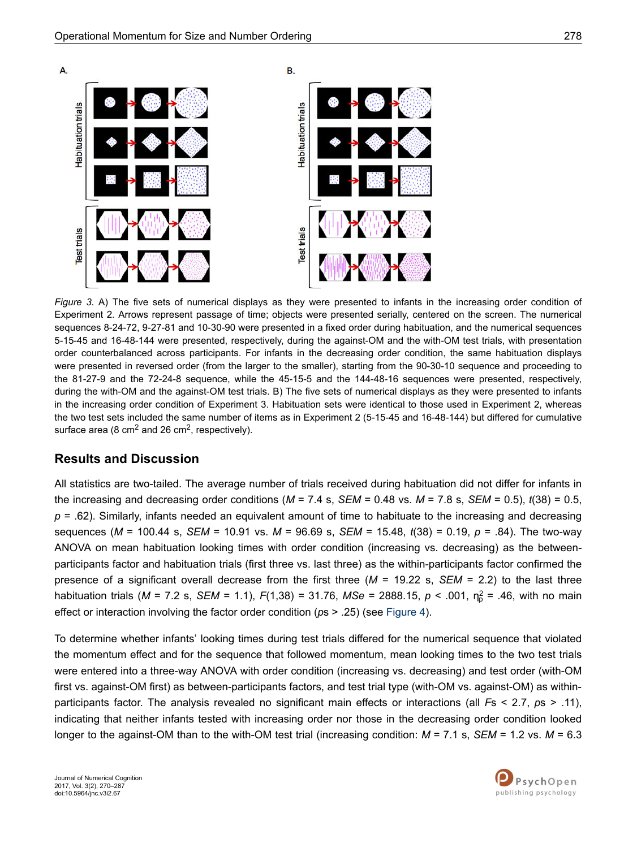<span id="page-8-0"></span>

*Figure 3.* A) The five sets of numerical displays as they were presented to infants in the increasing order condition of Experiment 2. Arrows represent passage of time; objects were presented serially, centered on the screen. The numerical sequences 8-24-72, 9-27-81 and 10-30-90 were presented in a fixed order during habituation, and the numerical sequences 5-15-45 and 16-48-144 were presented, respectively, during the against-OM and the with-OM test trials, with presentation order counterbalanced across participants. For infants in the decreasing order condition, the same habituation displays were presented in reversed order (from the larger to the smaller), starting from the 90-30-10 sequence and proceeding to the 81-27-9 and the 72-24-8 sequence, while the 45-15-5 and the 144-48-16 sequences were presented, respectively, during the with-OM and the against-OM test trials. B) The five sets of numerical displays as they were presented to infants in the increasing order condition of Experiment 3. Habituation sets were identical to those used in Experiment 2, whereas the two test sets included the same number of items as in Experiment 2 (5-15-45 and 16-48-144) but differed for cumulative surface area (8 cm<sup>2</sup> and 26 cm<sup>2</sup>, respectively).

## **Results and Discussion**

All statistics are two-tailed. The average number of trials received during habituation did not differ for infants in the increasing and decreasing order conditions ( $M = 7.4$  s,  $SEM = 0.48$  vs.  $M = 7.8$  s,  $SEM = 0.5$ ),  $t(38) = 0.5$ , *p* = .62). Similarly, infants needed an equivalent amount of time to habituate to the increasing and decreasing sequences (*M* = 100.44 s, *SEM* = 10.91 vs. *M* = 96.69 s, *SEM* = 15.48, *t*(38) = 0.19, *p* = .84). The two-way ANOVA on mean habituation looking times with order condition (increasing vs. decreasing) as the betweenparticipants factor and habituation trials (first three vs. last three) as the within-participants factor confirmed the presence of a significant overall decrease from the first three (*M* = 19.22 s, *SEM* = 2.2) to the last three habituation trials (*M* = 7.2 s, *SEM* = 1.1),  $F(1,38)$  = 31.76, *MSe* = 2888.15,  $p < .001$ ,  $n_p^2$  = .46, with no main effect or interaction involving the factor order condition (*p*s > .25) (see [Figure 4\)](#page-9-0).

To determine whether infants' looking times during test trials differed for the numerical sequence that violated the momentum effect and for the sequence that followed momentum, mean looking times to the two test trials were entered into a three-way ANOVA with order condition (increasing vs. decreasing) and test order (with-OM first vs. against-OM first) as between-participants factors, and test trial type (with-OM vs. against-OM) as withinparticipants factor. The analysis revealed no significant main effects or interactions (all *F*s < 2.7, *p*s > .11), indicating that neither infants tested with increasing order nor those in the decreasing order condition looked longer to the against-OM than to the with-OM test trial (increasing condition: *M* = 7.1 s, *SEM* = 1.2 vs. *M* = 6.3

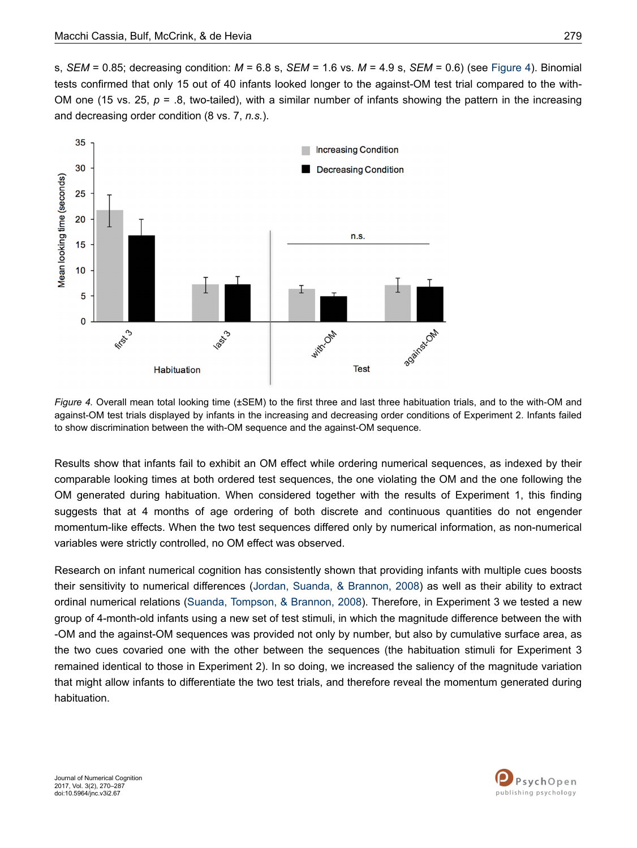<span id="page-9-0"></span>s, *SEM* = 0.85; decreasing condition: *M* = 6.8 s, *SEM* = 1.6 vs. *M* = 4.9 s, *SEM* = 0.6) (see Figure 4). Binomial tests confirmed that only 15 out of 40 infants looked longer to the against-OM test trial compared to the with-OM one (15 vs. 25,  $p = 0.8$ , two-tailed), with a similar number of infants showing the pattern in the increasing and decreasing order condition (8 vs. 7, *n.s.*).



*Figure 4.* Overall mean total looking time (±SEM) to the first three and last three habituation trials, and to the with-OM and against-OM test trials displayed by infants in the increasing and decreasing order conditions of Experiment 2. Infants failed to show discrimination between the with-OM sequence and the against-OM sequence.

Results show that infants fail to exhibit an OM effect while ordering numerical sequences, as indexed by their comparable looking times at both ordered test sequences, the one violating the OM and the one following the OM generated during habituation. When considered together with the results of Experiment 1, this finding suggests that at 4 months of age ordering of both discrete and continuous quantities do not engender momentum-like effects. When the two test sequences differed only by numerical information, as non-numerical variables were strictly controlled, no OM effect was observed.

Research on infant numerical cognition has consistently shown that providing infants with multiple cues boosts their sensitivity to numerical differences ([Jordan, Suanda, & Brannon, 2008](#page-16-0)) as well as their ability to extract ordinal numerical relations [\(Suanda, Tompson, & Brannon, 2008](#page-17-0)). Therefore, in Experiment 3 we tested a new group of 4-month-old infants using a new set of test stimuli, in which the magnitude difference between the with -OM and the against-OM sequences was provided not only by number, but also by cumulative surface area, as the two cues covaried one with the other between the sequences (the habituation stimuli for Experiment 3 remained identical to those in Experiment 2). In so doing, we increased the saliency of the magnitude variation that might allow infants to differentiate the two test trials, and therefore reveal the momentum generated during habituation.

Journal of Numerical Cognition 2017, Vol. 3(2), 270–287 doi:10.5964/jnc.v3i2.67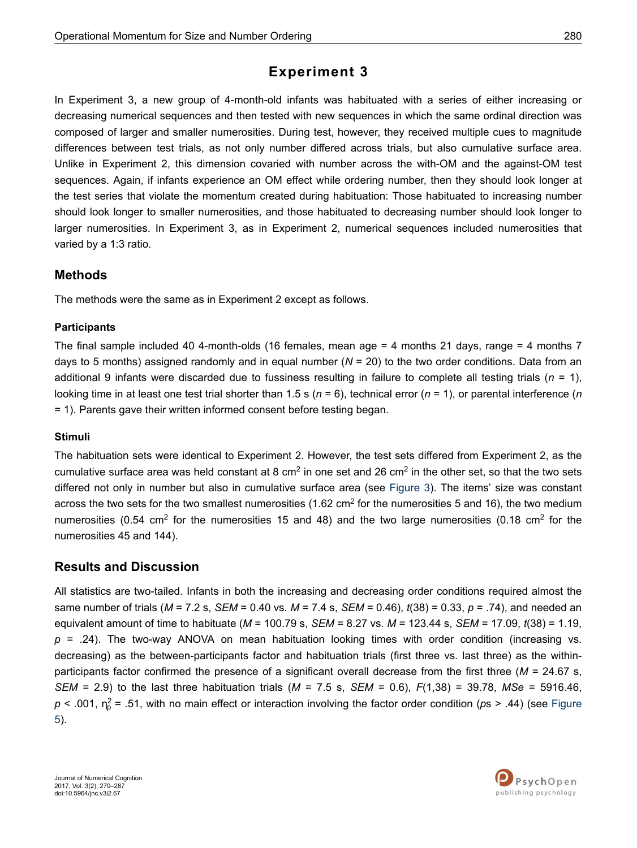# **Experiment 3**

In Experiment 3, a new group of 4-month-old infants was habituated with a series of either increasing or decreasing numerical sequences and then tested with new sequences in which the same ordinal direction was composed of larger and smaller numerosities. During test, however, they received multiple cues to magnitude differences between test trials, as not only number differed across trials, but also cumulative surface area. Unlike in Experiment 2, this dimension covaried with number across the with-OM and the against-OM test sequences. Again, if infants experience an OM effect while ordering number, then they should look longer at the test series that violate the momentum created during habituation: Those habituated to increasing number should look longer to smaller numerosities, and those habituated to decreasing number should look longer to larger numerosities. In Experiment 3, as in Experiment 2, numerical sequences included numerosities that varied by a 1:3 ratio.

## **Methods**

The methods were the same as in Experiment 2 except as follows.

### **Participants**

The final sample included 40 4-month-olds (16 females, mean age = 4 months 21 days, range = 4 months 7 days to 5 months) assigned randomly and in equal number ( $N = 20$ ) to the two order conditions. Data from an additional 9 infants were discarded due to fussiness resulting in failure to complete all testing trials (*n* = 1), looking time in at least one test trial shorter than 1.5 s (*n* = 6), technical error (*n* = 1), or parental interference (*n* = 1). Parents gave their written informed consent before testing began.

### **Stimuli**

The habituation sets were identical to Experiment 2. However, the test sets differed from Experiment 2, as the cumulative surface area was held constant at 8 cm<sup>2</sup> in one set and 26 cm<sup>2</sup> in the other set, so that the two sets differed not only in number but also in cumulative surface area (see [Figure 3](#page-8-0)). The items' size was constant across the two sets for the two smallest numerosities (1.62 cm<sup>2</sup> for the numerosities 5 and 16), the two medium numerosities (0.54 cm<sup>2</sup> for the numerosities 15 and 48) and the two large numerosities (0.18 cm<sup>2</sup> for the numerosities 45 and 144).

## **Results and Discussion**

All statistics are two-tailed. Infants in both the increasing and decreasing order conditions required almost the same number of trials (*M* = 7.2 s, *SEM* = 0.40 vs. *M* = 7.4 s, *SEM* = 0.46), *t*(38) = 0.33, *p* = .74), and needed an equivalent amount of time to habituate (*M* = 100.79 s, *SEM* = 8.27 vs. *M* = 123.44 s, *SEM* = 17.09, *t*(38) = 1.19, *p* = .24). The two-way ANOVA on mean habituation looking times with order condition (increasing vs. decreasing) as the between-participants factor and habituation trials (first three vs. last three) as the withinparticipants factor confirmed the presence of a significant overall decrease from the first three (*M* = 24.67 s, *SEM* = 2.9) to the last three habituation trials (*M* = 7.5 s, *SEM* = 0.6), *F*(1,38) = 39.78, *MSe* = 5916.46, *p* < .001, η<sup>2</sup> p = .51, with no main effect or interaction involving the factor order condition (*p*s > .44) (see [Figure](#page-11-0) [5\)](#page-11-0).

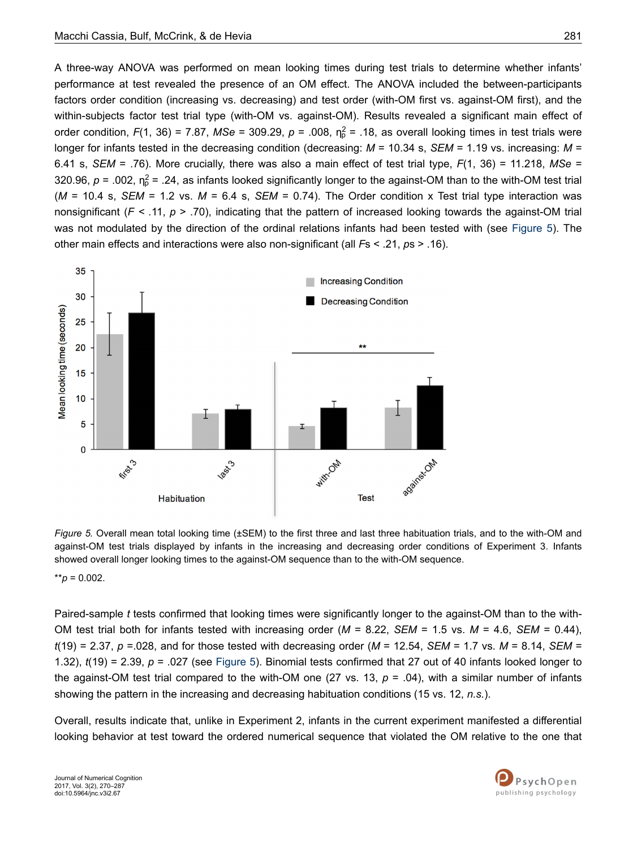<span id="page-11-0"></span>A three-way ANOVA was performed on mean looking times during test trials to determine whether infants' performance at test revealed the presence of an OM effect. The ANOVA included the between-participants factors order condition (increasing vs. decreasing) and test order (with-OM first vs. against-OM first), and the within-subjects factor test trial type (with-OM vs. against-OM). Results revealed a significant main effect of order condition,  $F(1, 36) = 7.87$ , MSe = 309.29,  $p = .008$ ,  $n_p^2 = .18$ , as overall looking times in test trials were longer for infants tested in the decreasing condition (decreasing: *M* = 10.34 s, *SEM* = 1.19 vs. increasing: *M* = 6.41 s, *SEM* = .76). More crucially, there was also a main effect of test trial type, *F*(1, 36) = 11.218, *MSe* = 320.96,  $p = 0.002$ ,  $\eta_p^2 = 0.24$ , as infants looked significantly longer to the against-OM than to the with-OM test trial (*M* = 10.4 s, *SEM* = 1.2 vs. *M* = 6.4 s, *SEM* = 0.74). The Order condition x Test trial type interaction was nonsignificant ( $F < .11$ ,  $p > .70$ ), indicating that the pattern of increased looking towards the against-OM trial was not modulated by the direction of the ordinal relations infants had been tested with (see Figure 5). The other main effects and interactions were also non-significant (all *F*s < .21, *p*s > .16).



*Figure 5.* Overall mean total looking time (±SEM) to the first three and last three habituation trials, and to the with-OM and against-OM test trials displayed by infants in the increasing and decreasing order conditions of Experiment 3. Infants showed overall longer looking times to the against-OM sequence than to the with-OM sequence.

\*\**p* = 0.002.

Paired-sample *t* tests confirmed that looking times were significantly longer to the against-OM than to the with-OM test trial both for infants tested with increasing order (*M* = 8.22, *SEM* = 1.5 vs. *M* = 4.6, *SEM* = 0.44), *t*(19) = 2.37, *p* =.028, and for those tested with decreasing order (*M* = 12.54, *SEM* = 1.7 vs. *M* = 8.14, *SEM* = 1.32), *t*(19) = 2.39, *p* = .027 (see Figure 5). Binomial tests confirmed that 27 out of 40 infants looked longer to the against-OM test trial compared to the with-OM one (27 vs. 13,  $p = .04$ ), with a similar number of infants showing the pattern in the increasing and decreasing habituation conditions (15 vs. 12, *n.s.*).

Overall, results indicate that, unlike in Experiment 2, infants in the current experiment manifested a differential looking behavior at test toward the ordered numerical sequence that violated the OM relative to the one that

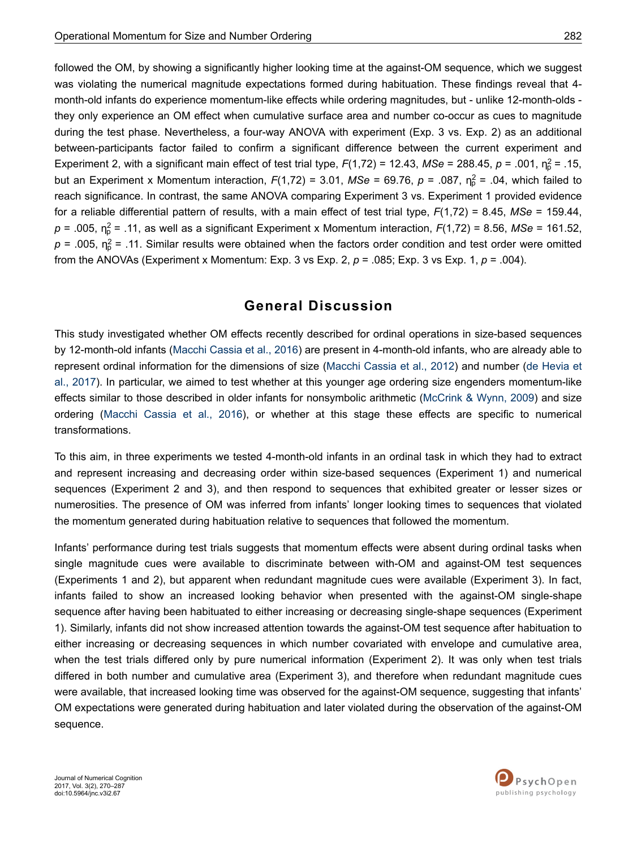followed the OM, by showing a significantly higher looking time at the against-OM sequence, which we suggest was violating the numerical magnitude expectations formed during habituation. These findings reveal that 4 month-old infants do experience momentum-like effects while ordering magnitudes, but - unlike 12-month-olds they only experience an OM effect when cumulative surface area and number co-occur as cues to magnitude during the test phase. Nevertheless, a four-way ANOVA with experiment (Exp. 3 vs. Exp. 2) as an additional between-participants factor failed to confirm a significant difference between the current experiment and Experiment 2, with a significant main effect of test trial type,  $F(1,72) = 12.43$ , MSe = 288.45,  $p = .001$ ,  $\eta_p^2 = .15$ , but an Experiment x Momentum interaction,  $F(1,72) = 3.01$ ,  $MSe = 69.76$ ,  $p = .087$ ,  $n<sub>p</sub><sup>2</sup> = .04$ , which failed to reach significance. In contrast, the same ANOVA comparing Experiment 3 vs. Experiment 1 provided evidence for a reliable differential pattern of results, with a main effect of test trial type, *F*(1,72) = 8.45, *MSe* = 159.44, *p* = .005, η<sup>2</sup> p = .11, as well as a significant Experiment x Momentum interaction, *F*(1,72) = 8.56, *MSe* = 161.52,  $p$  = .005,  $n_{\text{p}}^2$  = .11. Similar results were obtained when the factors order condition and test order were omitted from the ANOVAs (Experiment x Momentum: Exp. 3 vs Exp. 2, *p* = .085; Exp. 3 vs Exp. 1, *p* = .004).

## **General Discussion**

This study investigated whether OM effects recently described for ordinal operations in size-based sequences by 12-month-old infants ([Macchi Cassia et al., 2016\)](#page-17-0) are present in 4-month-old infants, who are already able to represent ordinal information for the dimensions of size [\(Macchi Cassia et al., 2012](#page-17-0)) and number [\(de Hevia et](#page-16-0) [al., 2017\)](#page-16-0). In particular, we aimed to test whether at this younger age ordering size engenders momentum-like effects similar to those described in older infants for nonsymbolic arithmetic ([McCrink & Wynn, 2009\)](#page-17-0) and size ordering ([Macchi Cassia et al., 2016\)](#page-17-0), or whether at this stage these effects are specific to numerical transformations.

To this aim, in three experiments we tested 4-month-old infants in an ordinal task in which they had to extract and represent increasing and decreasing order within size-based sequences (Experiment 1) and numerical sequences (Experiment 2 and 3), and then respond to sequences that exhibited greater or lesser sizes or numerosities. The presence of OM was inferred from infants' longer looking times to sequences that violated the momentum generated during habituation relative to sequences that followed the momentum.

Infants' performance during test trials suggests that momentum effects were absent during ordinal tasks when single magnitude cues were available to discriminate between with-OM and against-OM test sequences (Experiments 1 and 2), but apparent when redundant magnitude cues were available (Experiment 3). In fact, infants failed to show an increased looking behavior when presented with the against-OM single-shape sequence after having been habituated to either increasing or decreasing single-shape sequences (Experiment 1). Similarly, infants did not show increased attention towards the against-OM test sequence after habituation to either increasing or decreasing sequences in which number covariated with envelope and cumulative area, when the test trials differed only by pure numerical information (Experiment 2). It was only when test trials differed in both number and cumulative area (Experiment 3), and therefore when redundant magnitude cues were available, that increased looking time was observed for the against-OM sequence, suggesting that infants' OM expectations were generated during habituation and later violated during the observation of the against-OM sequence.

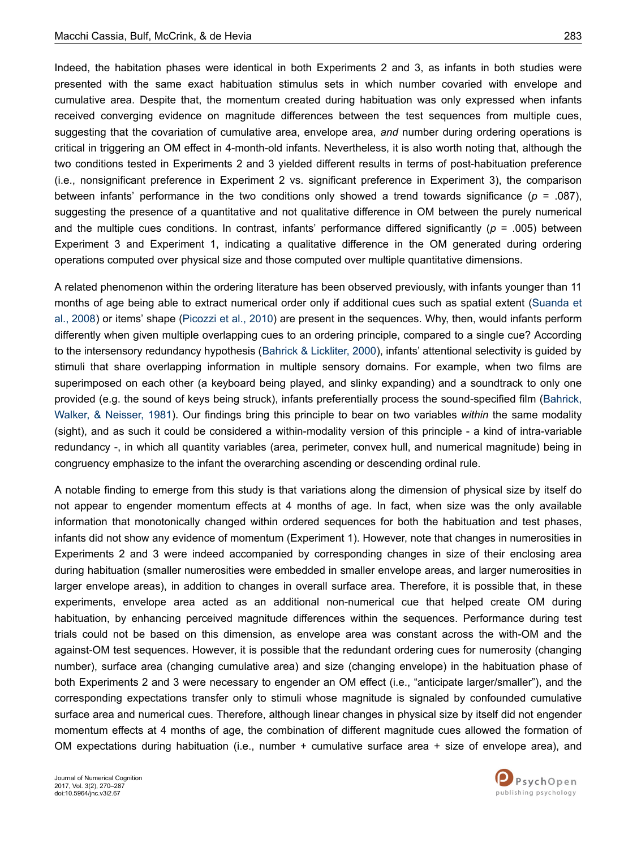Indeed, the habitation phases were identical in both Experiments 2 and 3, as infants in both studies were presented with the same exact habituation stimulus sets in which number covaried with envelope and cumulative area. Despite that, the momentum created during habituation was only expressed when infants received converging evidence on magnitude differences between the test sequences from multiple cues, suggesting that the covariation of cumulative area, envelope area, *and* number during ordering operations is critical in triggering an OM effect in 4-month-old infants. Nevertheless, it is also worth noting that, although the two conditions tested in Experiments 2 and 3 yielded different results in terms of post-habituation preference (i.e., nonsignificant preference in Experiment 2 vs. significant preference in Experiment 3), the comparison between infants' performance in the two conditions only showed a trend towards significance (*p* = .087), suggesting the presence of a quantitative and not qualitative difference in OM between the purely numerical and the multiple cues conditions. In contrast, infants' performance differed significantly (*p* = .005) between Experiment 3 and Experiment 1, indicating a qualitative difference in the OM generated during ordering operations computed over physical size and those computed over multiple quantitative dimensions.

A related phenomenon within the ordering literature has been observed previously, with infants younger than 11 months of age being able to extract numerical order only if additional cues such as spatial extent ([Suanda et](#page-17-0) [al., 2008\)](#page-17-0) or items' shape ([Picozzi et al., 2010](#page-17-0)) are present in the sequences. Why, then, would infants perform differently when given multiple overlapping cues to an ordering principle, compared to a single cue? According to the intersensory redundancy hypothesis [\(Bahrick & Lickliter, 2000](#page-15-0)), infants' attentional selectivity is guided by stimuli that share overlapping information in multiple sensory domains. For example, when two films are superimposed on each other (a keyboard being played, and slinky expanding) and a soundtrack to only one provided (e.g. the sound of keys being struck), infants preferentially process the sound-specified film [\(Bahrick,](#page-15-0) [Walker, & Neisser, 1981\)](#page-15-0). Our findings bring this principle to bear on two variables *within* the same modality (sight), and as such it could be considered a within-modality version of this principle - a kind of intra-variable redundancy -, in which all quantity variables (area, perimeter, convex hull, and numerical magnitude) being in congruency emphasize to the infant the overarching ascending or descending ordinal rule.

A notable finding to emerge from this study is that variations along the dimension of physical size by itself do not appear to engender momentum effects at 4 months of age. In fact, when size was the only available information that monotonically changed within ordered sequences for both the habituation and test phases, infants did not show any evidence of momentum (Experiment 1). However, note that changes in numerosities in Experiments 2 and 3 were indeed accompanied by corresponding changes in size of their enclosing area during habituation (smaller numerosities were embedded in smaller envelope areas, and larger numerosities in larger envelope areas), in addition to changes in overall surface area. Therefore, it is possible that, in these experiments, envelope area acted as an additional non-numerical cue that helped create OM during habituation, by enhancing perceived magnitude differences within the sequences. Performance during test trials could not be based on this dimension, as envelope area was constant across the with-OM and the against-OM test sequences. However, it is possible that the redundant ordering cues for numerosity (changing number), surface area (changing cumulative area) and size (changing envelope) in the habituation phase of both Experiments 2 and 3 were necessary to engender an OM effect (i.e., "anticipate larger/smaller"), and the corresponding expectations transfer only to stimuli whose magnitude is signaled by confounded cumulative surface area and numerical cues. Therefore, although linear changes in physical size by itself did not engender momentum effects at 4 months of age, the combination of different magnitude cues allowed the formation of OM expectations during habituation (i.e., number + cumulative surface area + size of envelope area), and

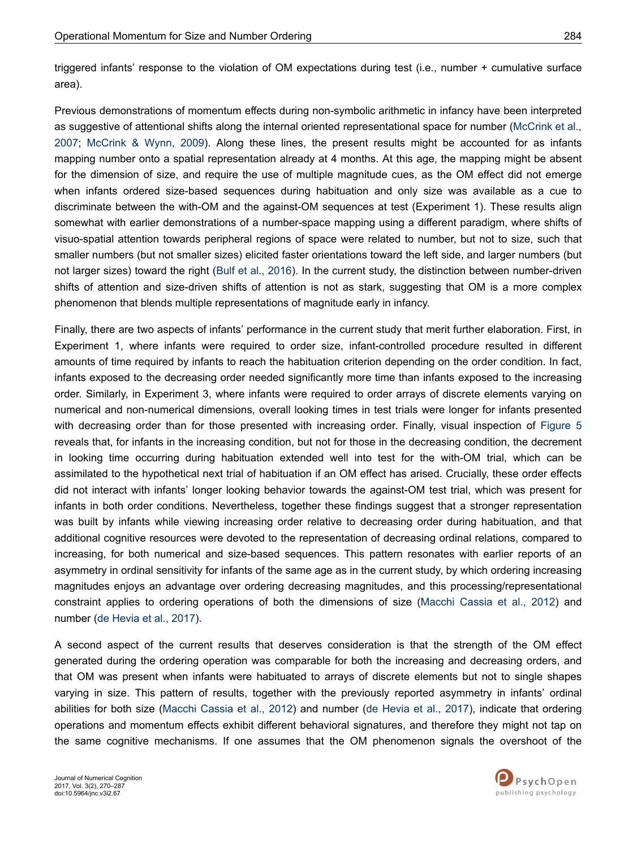triggered infants' response to the violation of OM expectations during test (i.e., number + cumulative surface area).

Previous demonstrations of momentum effects during non-symbolic arithmetic in infancy have been interpreted as suggestive of attentional shifts along the internal oriented representational space for number ([McCrink et al.,](#page-17-0) [2007](#page-17-0); [McCrink & Wynn, 2009](#page-17-0)). Along these lines, the present results might be accounted for as infants mapping number onto a spatial representation already at 4 months. At this age, the mapping might be absent for the dimension of size, and require the use of multiple magnitude cues, as the OM effect did not emerge when infants ordered size-based sequences during habituation and only size was available as a cue to discriminate between the with-OM and the against-OM sequences at test (Experiment 1). These results align somewhat with earlier demonstrations of a number-space mapping using a different paradigm, where shifts of visuo-spatial attention towards peripheral regions of space were related to number, but not to size, such that smaller numbers (but not smaller sizes) elicited faster orientations toward the left side, and larger numbers (but not larger sizes) toward the right [\(Bulf et al., 2016\)](#page-15-0). In the current study, the distinction between number-driven shifts of attention and size-driven shifts of attention is not as stark, suggesting that OM is a more complex phenomenon that blends multiple representations of magnitude early in infancy.

Finally, there are two aspects of infants' performance in the current study that merit further elaboration. First, in Experiment 1, where infants were required to order size, infant-controlled procedure resulted in different amounts of time required by infants to reach the habituation criterion depending on the order condition. In fact, infants exposed to the decreasing order needed significantly more time than infants exposed to the increasing order. Similarly, in Experiment 3, where infants were required to order arrays of discrete elements varying on numerical and non-numerical dimensions, overall looking times in test trials were longer for infants presented with decreasing order than for those presented with increasing order. Finally, visual inspection of [Figure 5](#page-11-0) reveals that, for infants in the increasing condition, but not for those in the decreasing condition, the decrement in looking time occurring during habituation extended well into test for the with-OM trial, which can be assimilated to the hypothetical next trial of habituation if an OM effect has arised. Crucially, these order effects did not interact with infants' longer looking behavior towards the against-OM test trial, which was present for infants in both order conditions. Nevertheless, together these findings suggest that a stronger representation was built by infants while viewing increasing order relative to decreasing order during habituation, and that additional cognitive resources were devoted to the representation of decreasing ordinal relations, compared to increasing, for both numerical and size-based sequences. This pattern resonates with earlier reports of an asymmetry in ordinal sensitivity for infants of the same age as in the current study, by which ordering increasing magnitudes enjoys an advantage over ordering decreasing magnitudes, and this processing/representational constraint applies to ordering operations of both the dimensions of size ([Macchi Cassia et al., 2012](#page-17-0)) and number [\(de Hevia et al., 2017\)](#page-16-0).

A second aspect of the current results that deserves consideration is that the strength of the OM effect generated during the ordering operation was comparable for both the increasing and decreasing orders, and that OM was present when infants were habituated to arrays of discrete elements but not to single shapes varying in size. This pattern of results, together with the previously reported asymmetry in infants' ordinal abilities for both size [\(Macchi Cassia et al., 2012\)](#page-17-0) and number ([de Hevia et al., 2017\)](#page-16-0), indicate that ordering operations and momentum effects exhibit different behavioral signatures, and therefore they might not tap on the same cognitive mechanisms. If one assumes that the OM phenomenon signals the overshoot of the

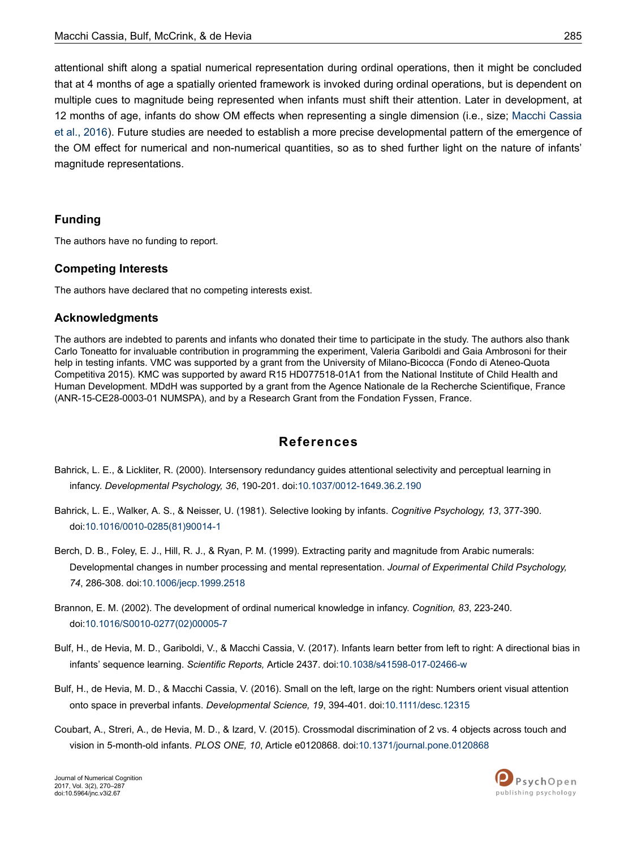<span id="page-15-0"></span>attentional shift along a spatial numerical representation during ordinal operations, then it might be concluded that at 4 months of age a spatially oriented framework is invoked during ordinal operations, but is dependent on multiple cues to magnitude being represented when infants must shift their attention. Later in development, at 12 months of age, infants do show OM effects when representing a single dimension (i.e., size; [Macchi Cassia](#page-17-0) [et al., 2016\)](#page-17-0). Future studies are needed to establish a more precise developmental pattern of the emergence of the OM effect for numerical and non-numerical quantities, so as to shed further light on the nature of infants' magnitude representations.

## **Funding**

The authors have no funding to report.

### **Competing Interests**

The authors have declared that no competing interests exist.

#### **Acknowledgments**

The authors are indebted to parents and infants who donated their time to participate in the study. The authors also thank Carlo Toneatto for invaluable contribution in programming the experiment, Valeria Gariboldi and Gaia Ambrosoni for their help in testing infants. VMC was supported by a grant from the University of Milano-Bicocca (Fondo di Ateneo-Quota Competitiva 2015). KMC was supported by award R15 HD077518-01A1 from the National Institute of Child Health and Human Development. MDdH was supported by a grant from the Agence Nationale de la Recherche Scientifique, France (ANR-15-CE28-0003-01 NUMSPA), and by a Research Grant from the Fondation Fyssen, France.

## **References**

- Bahrick, L. E., & Lickliter, R. (2000). Intersensory redundancy guides attentional selectivity and perceptual learning in infancy. *Developmental Psychology, 36*, 190-201. doi[:10.1037/0012-1649.36.2.190](http://doi.org/10.1037/0012-1649.36.2.190)
- Bahrick, L. E., Walker, A. S., & Neisser, U. (1981). Selective looking by infants. *Cognitive Psychology, 13*, 377-390. doi:10.1016/0010-0285(81)90014-1
- Berch, D. B., Foley, E. J., Hill, R. J., & Ryan, P. M. (1999). Extracting parity and magnitude from Arabic numerals: Developmental changes in number processing and mental representation. *Journal of Experimental Child Psychology, 74*, 286-308. doi:[10.1006/jecp.1999.2518](http://doi.org/10.1006/jecp.1999.2518)
- Brannon, E. M. (2002). The development of ordinal numerical knowledge in infancy. *Cognition, 83*, 223-240. doi:10.1016/S0010-0277(02)00005-7
- Bulf, H., de Hevia, M. D., Gariboldi, V., & Macchi Cassia, V. (2017). Infants learn better from left to right: A directional bias in infants' sequence learning. *Scientific Reports,* Article 2437. doi:[10.1038/s41598-017-02466-w](http://doi.org/10.1038/s41598-017-02466-w)
- Bulf, H., de Hevia, M. D., & Macchi Cassia, V. (2016). Small on the left, large on the right: Numbers orient visual attention onto space in preverbal infants. *Developmental Science, 19*, 394-401. doi:[10.1111/desc.12315](http://doi.org/10.1111/desc.12315)
- Coubart, A., Streri, A., de Hevia, M. D., & Izard, V. (2015). Crossmodal discrimination of 2 vs. 4 objects across touch and vision in 5-month-old infants. *PLOS ONE, 10*, Article e0120868. doi[:10.1371/journal.pone.0120868](http://doi.org/10.1371/journal.pone.0120868)

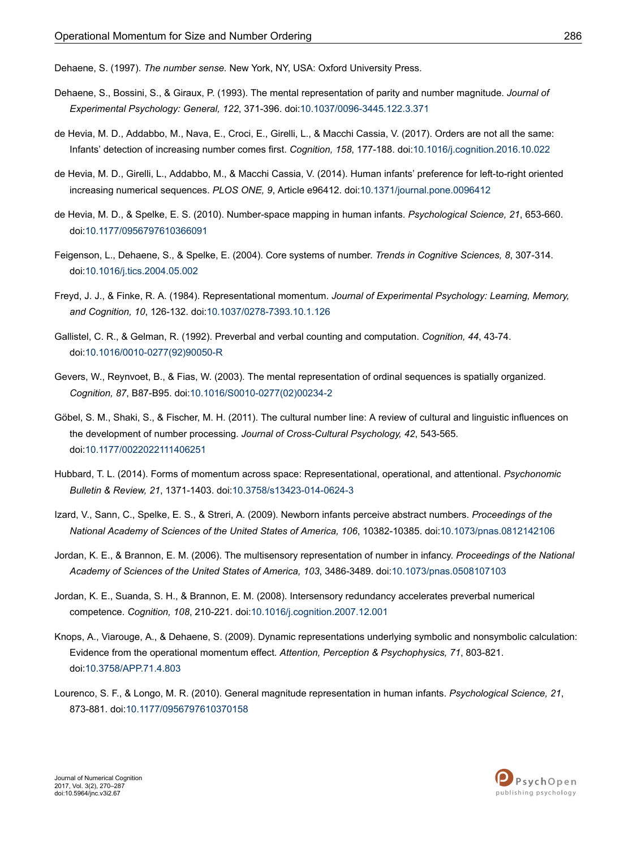<span id="page-16-0"></span>Dehaene, S. (1997). *The number sense.* New York, NY, USA: Oxford University Press.

- Dehaene, S., Bossini, S., & Giraux, P. (1993). The mental representation of parity and number magnitude. *Journal of Experimental Psychology: General, 122*, 371-396. doi:[10.1037/0096-3445.122.3.371](http://doi.org/10.1037/0096-3445.122.3.371)
- de Hevia, M. D., Addabbo, M., Nava, E., Croci, E., Girelli, L., & Macchi Cassia, V. (2017). Orders are not all the same: Infants' detection of increasing number comes first. *Cognition, 158*, 177-188. doi[:10.1016/j.cognition.2016.10.022](http://doi.org/10.1016/j.cognition.2016.10.022)
- de Hevia, M. D., Girelli, L., Addabbo, M., & Macchi Cassia, V. (2014). Human infants' preference for left-to-right oriented increasing numerical sequences. *PLOS ONE, 9*, Article e96412. doi:[10.1371/journal.pone.0096412](http://doi.org/10.1371/journal.pone.0096412)
- de Hevia, M. D., & Spelke, E. S. (2010). Number-space mapping in human infants. *Psychological Science, 21*, 653-660. doi:[10.1177/0956797610366091](http://doi.org/10.1177/0956797610366091)
- Feigenson, L., Dehaene, S., & Spelke, E. (2004). Core systems of number. *Trends in Cognitive Sciences, 8*, 307-314. doi:[10.1016/j.tics.2004.05.002](http://doi.org/10.1016/j.tics.2004.05.002)
- Freyd, J. J., & Finke, R. A. (1984). Representational momentum. *Journal of Experimental Psychology: Learning, Memory, and Cognition, 10*, 126-132. doi[:10.1037/0278-7393.10.1.126](http://doi.org/10.1037/0278-7393.10.1.126)
- Gallistel, C. R., & Gelman, R. (1992). Preverbal and verbal counting and computation. *Cognition, 44*, 43-74. doi:10.1016/0010-0277(92)90050-R
- Gevers, W., Reynvoet, B., & Fias, W. (2003). The mental representation of ordinal sequences is spatially organized. *Cognition, 87*, B87-B95. doi:10.1016/S0010-0277(02)00234-2
- Göbel, S. M., Shaki, S., & Fischer, M. H. (2011). The cultural number line: A review of cultural and linguistic influences on the development of number processing. *Journal of Cross-Cultural Psychology, 42*, 543-565. doi:[10.1177/0022022111406251](http://doi.org/10.1177/0022022111406251)
- Hubbard, T. L. (2014). Forms of momentum across space: Representational, operational, and attentional. *Psychonomic Bulletin & Review, 21*, 1371-1403. doi[:10.3758/s13423-014-0624-3](http://doi.org/10.3758/s13423-014-0624-3)
- Izard, V., Sann, C., Spelke, E. S., & Streri, A. (2009). Newborn infants perceive abstract numbers. *Proceedings of the National Academy of Sciences of the United States of America, 106*, 10382-10385. doi:[10.1073/pnas.0812142106](http://doi.org/10.1073/pnas.0812142106)
- Jordan, K. E., & Brannon, E. M. (2006). The multisensory representation of number in infancy. *Proceedings of the National Academy of Sciences of the United States of America, 103*, 3486-3489. doi[:10.1073/pnas.0508107103](http://doi.org/10.1073/pnas.0508107103)
- Jordan, K. E., Suanda, S. H., & Brannon, E. M. (2008). Intersensory redundancy accelerates preverbal numerical competence. *Cognition, 108*, 210-221. doi:[10.1016/j.cognition.2007.12.001](http://doi.org/10.1016/j.cognition.2007.12.001)
- Knops, A., Viarouge, A., & Dehaene, S. (2009). Dynamic representations underlying symbolic and nonsymbolic calculation: Evidence from the operational momentum effect. *Attention, Perception & Psychophysics, 71*, 803-821. doi:[10.3758/APP.71.4.803](http://doi.org/10.3758/APP.71.4.803)
- Lourenco, S. F., & Longo, M. R. (2010). General magnitude representation in human infants. *Psychological Science, 21*, 873-881. doi:[10.1177/0956797610370158](http://doi.org/10.1177/0956797610370158)